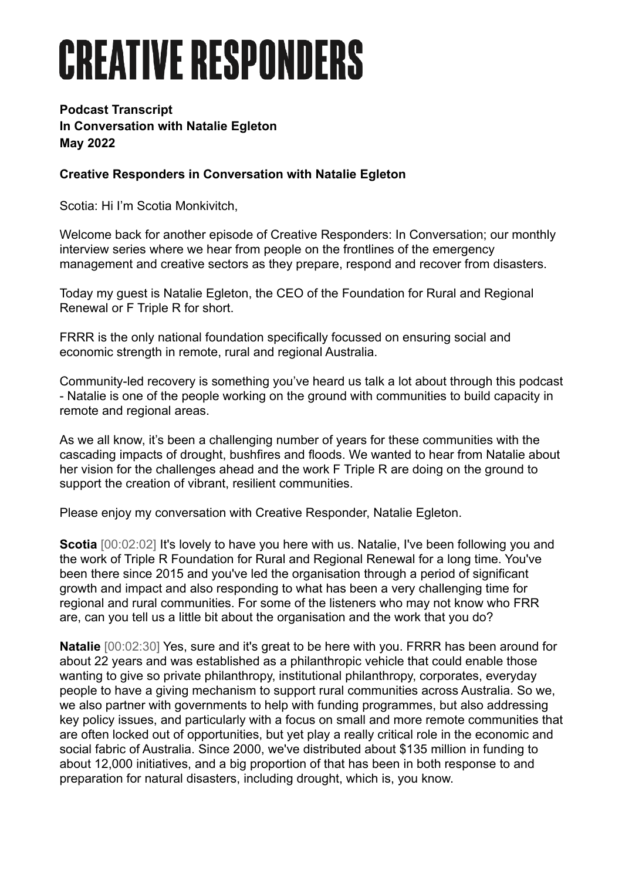## **CREATIVE RESPONDERS**

## **Podcast Transcript In Conversation with Natalie Egleton May 2022**

## **Creative Responders in Conversation with Natalie Egleton**

Scotia: Hi I'm Scotia Monkivitch,

Welcome back for another episode of Creative Responders: In Conversation; our monthly interview series where we hear from people on the frontlines of the emergency management and creative sectors as they prepare, respond and recover from disasters.

Today my guest is Natalie Egleton, the CEO of the Foundation for Rural and Regional Renewal or F Triple R for short.

FRRR is the only national foundation specifically focussed on ensuring social and economic strength in remote, rural and regional Australia.

Community-led recovery is something you've heard us talk a lot about through this podcast - Natalie is one of the people working on the ground with communities to build capacity in remote and regional areas.

As we all know, it's been a challenging number of years for these communities with the cascading impacts of drought, bushfires and floods. We wanted to hear from Natalie about her vision for the challenges ahead and the work F Triple R are doing on the ground to support the creation of vibrant, resilient communities.

Please enjoy my conversation with Creative Responder, Natalie Egleton.

**Scotia** [00:02:02] It's lovely to have you here with us. Natalie, I've been following you and the work of Triple R Foundation for Rural and Regional Renewal for a long time. You've been there since 2015 and you've led the organisation through a period of significant growth and impact and also responding to what has been a very challenging time for regional and rural communities. For some of the listeners who may not know who FRR are, can you tell us a little bit about the organisation and the work that you do?

**Natalie** [00:02:30] Yes, sure and it's great to be here with you. FRRR has been around for about 22 years and was established as a philanthropic vehicle that could enable those wanting to give so private philanthropy, institutional philanthropy, corporates, everyday people to have a giving mechanism to support rural communities across Australia. So we, we also partner with governments to help with funding programmes, but also addressing key policy issues, and particularly with a focus on small and more remote communities that are often locked out of opportunities, but yet play a really critical role in the economic and social fabric of Australia. Since 2000, we've distributed about \$135 million in funding to about 12,000 initiatives, and a big proportion of that has been in both response to and preparation for natural disasters, including drought, which is, you know.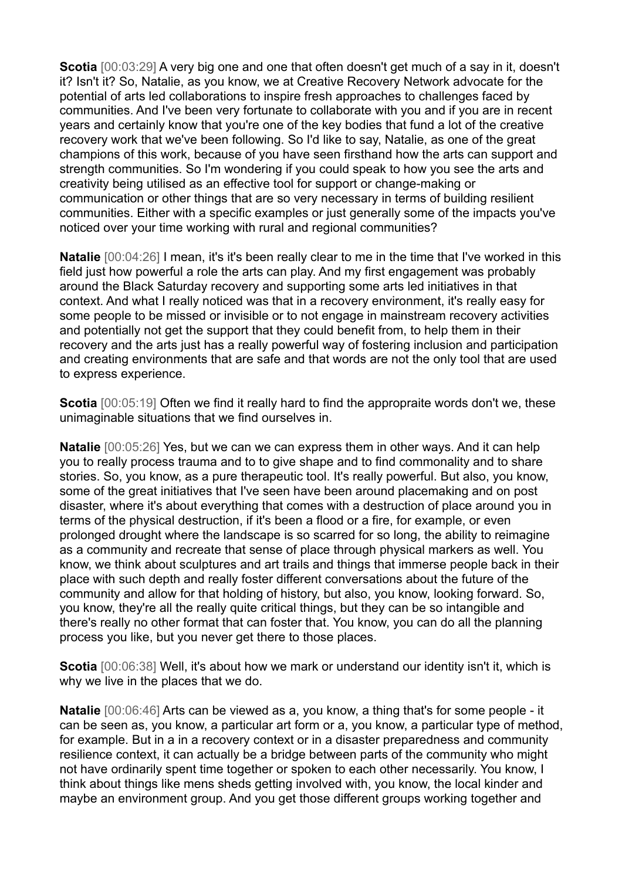**Scotia** [00:03:29] A very big one and one that often doesn't get much of a say in it, doesn't it? Isn't it? So, Natalie, as you know, we at Creative Recovery Network advocate for the potential of arts led collaborations to inspire fresh approaches to challenges faced by communities. And I've been very fortunate to collaborate with you and if you are in recent years and certainly know that you're one of the key bodies that fund a lot of the creative recovery work that we've been following. So I'd like to say, Natalie, as one of the great champions of this work, because of you have seen firsthand how the arts can support and strength communities. So I'm wondering if you could speak to how you see the arts and creativity being utilised as an effective tool for support or change-making or communication or other things that are so very necessary in terms of building resilient communities. Either with a specific examples or just generally some of the impacts you've noticed over your time working with rural and regional communities?

**Natalie** [00:04:26] I mean, it's it's been really clear to me in the time that I've worked in this field just how powerful a role the arts can play. And my first engagement was probably around the Black Saturday recovery and supporting some arts led initiatives in that context. And what I really noticed was that in a recovery environment, it's really easy for some people to be missed or invisible or to not engage in mainstream recovery activities and potentially not get the support that they could benefit from, to help them in their recovery and the arts just has a really powerful way of fostering inclusion and participation and creating environments that are safe and that words are not the only tool that are used to express experience.

**Scotia** [00:05:19] Often we find it really hard to find the appropraite words don't we, these unimaginable situations that we find ourselves in.

**Natalie** [00:05:26] Yes, but we can we can express them in other ways. And it can help you to really process trauma and to to give shape and to find commonality and to share stories. So, you know, as a pure therapeutic tool. It's really powerful. But also, you know, some of the great initiatives that I've seen have been around placemaking and on post disaster, where it's about everything that comes with a destruction of place around you in terms of the physical destruction, if it's been a flood or a fire, for example, or even prolonged drought where the landscape is so scarred for so long, the ability to reimagine as a community and recreate that sense of place through physical markers as well. You know, we think about sculptures and art trails and things that immerse people back in their place with such depth and really foster different conversations about the future of the community and allow for that holding of history, but also, you know, looking forward. So, you know, they're all the really quite critical things, but they can be so intangible and there's really no other format that can foster that. You know, you can do all the planning process you like, but you never get there to those places.

**Scotia** [00:06:38] Well, it's about how we mark or understand our identity isn't it, which is why we live in the places that we do.

**Natalie** [00:06:46] Arts can be viewed as a, you know, a thing that's for some people - it can be seen as, you know, a particular art form or a, you know, a particular type of method, for example. But in a in a recovery context or in a disaster preparedness and community resilience context, it can actually be a bridge between parts of the community who might not have ordinarily spent time together or spoken to each other necessarily. You know, I think about things like mens sheds getting involved with, you know, the local kinder and maybe an environment group. And you get those different groups working together and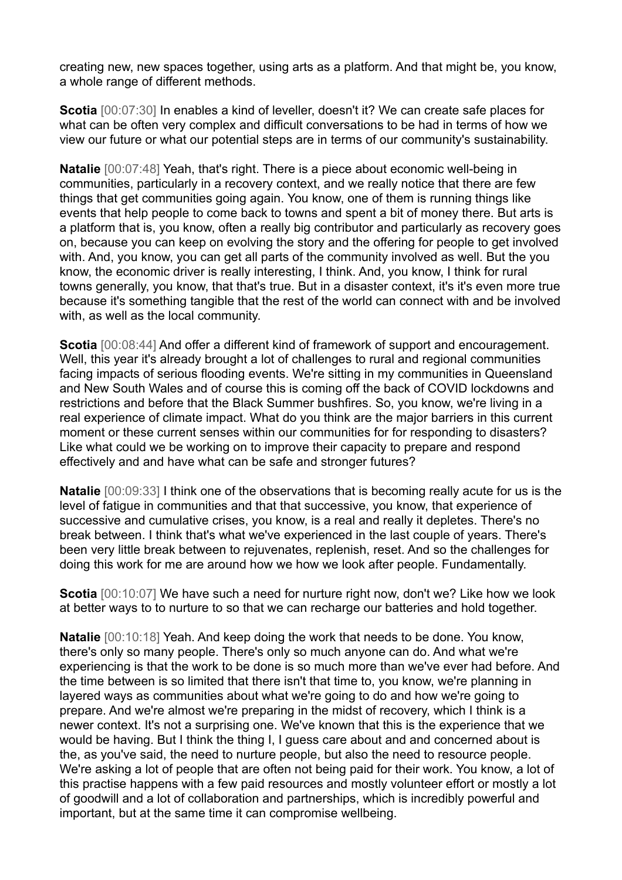creating new, new spaces together, using arts as a platform. And that might be, you know, a whole range of different methods.

**Scotia** [00:07:30] In enables a kind of leveller, doesn't it? We can create safe places for what can be often very complex and difficult conversations to be had in terms of how we view our future or what our potential steps are in terms of our community's sustainability.

**Natalie**  $[00:07:48]$  Yeah, that's right. There is a piece about economic well-being in communities, particularly in a recovery context, and we really notice that there are few things that get communities going again. You know, one of them is running things like events that help people to come back to towns and spent a bit of money there. But arts is a platform that is, you know, often a really big contributor and particularly as recovery goes on, because you can keep on evolving the story and the offering for people to get involved with. And, you know, you can get all parts of the community involved as well. But the you know, the economic driver is really interesting, I think. And, you know, I think for rural towns generally, you know, that that's true. But in a disaster context, it's it's even more true because it's something tangible that the rest of the world can connect with and be involved with, as well as the local community.

**Scotia** [00:08:44] And offer a different kind of framework of support and encouragement. Well, this year it's already brought a lot of challenges to rural and regional communities facing impacts of serious flooding events. We're sitting in my communities in Queensland and New South Wales and of course this is coming off the back of COVID lockdowns and restrictions and before that the Black Summer bushfires. So, you know, we're living in a real experience of climate impact. What do you think are the major barriers in this current moment or these current senses within our communities for for responding to disasters? Like what could we be working on to improve their capacity to prepare and respond effectively and and have what can be safe and stronger futures?

**Natalie** [00:09:33] I think one of the observations that is becoming really acute for us is the level of fatigue in communities and that that successive, you know, that experience of successive and cumulative crises, you know, is a real and really it depletes. There's no break between. I think that's what we've experienced in the last couple of years. There's been very little break between to rejuvenates, replenish, reset. And so the challenges for doing this work for me are around how we how we look after people. Fundamentally.

**Scotia** [00:10:07] We have such a need for nurture right now, don't we? Like how we look at better ways to to nurture to so that we can recharge our batteries and hold together.

**Natalie** [00:10:18] Yeah. And keep doing the work that needs to be done. You know, there's only so many people. There's only so much anyone can do. And what we're experiencing is that the work to be done is so much more than we've ever had before. And the time between is so limited that there isn't that time to, you know, we're planning in layered ways as communities about what we're going to do and how we're going to prepare. And we're almost we're preparing in the midst of recovery, which I think is a newer context. It's not a surprising one. We've known that this is the experience that we would be having. But I think the thing I, I guess care about and and concerned about is the, as you've said, the need to nurture people, but also the need to resource people. We're asking a lot of people that are often not being paid for their work. You know, a lot of this practise happens with a few paid resources and mostly volunteer effort or mostly a lot of goodwill and a lot of collaboration and partnerships, which is incredibly powerful and important, but at the same time it can compromise wellbeing.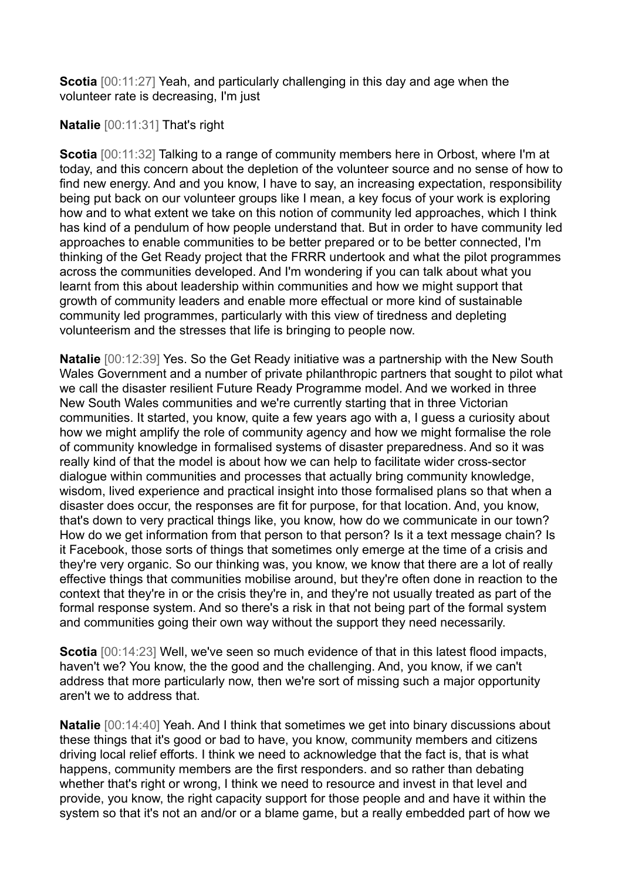**Scotia** [00:11:27] Yeah, and particularly challenging in this day and age when the volunteer rate is decreasing, I'm just

## **Natalie** [00:11:31] That's right

**Scotia** [00:11:32] Talking to a range of community members here in Orbost, where I'm at today, and this concern about the depletion of the volunteer source and no sense of how to find new energy. And and you know, I have to say, an increasing expectation, responsibility being put back on our volunteer groups like I mean, a key focus of your work is exploring how and to what extent we take on this notion of community led approaches, which I think has kind of a pendulum of how people understand that. But in order to have community led approaches to enable communities to be better prepared or to be better connected, I'm thinking of the Get Ready project that the FRRR undertook and what the pilot programmes across the communities developed. And I'm wondering if you can talk about what you learnt from this about leadership within communities and how we might support that growth of community leaders and enable more effectual or more kind of sustainable community led programmes, particularly with this view of tiredness and depleting volunteerism and the stresses that life is bringing to people now.

**Natalie** [00:12:39] Yes. So the Get Ready initiative was a partnership with the New South Wales Government and a number of private philanthropic partners that sought to pilot what we call the disaster resilient Future Ready Programme model. And we worked in three New South Wales communities and we're currently starting that in three Victorian communities. It started, you know, quite a few years ago with a, I guess a curiosity about how we might amplify the role of community agency and how we might formalise the role of community knowledge in formalised systems of disaster preparedness. And so it was really kind of that the model is about how we can help to facilitate wider cross-sector dialogue within communities and processes that actually bring community knowledge, wisdom, lived experience and practical insight into those formalised plans so that when a disaster does occur, the responses are fit for purpose, for that location. And, you know, that's down to very practical things like, you know, how do we communicate in our town? How do we get information from that person to that person? Is it a text message chain? Is it Facebook, those sorts of things that sometimes only emerge at the time of a crisis and they're very organic. So our thinking was, you know, we know that there are a lot of really effective things that communities mobilise around, but they're often done in reaction to the context that they're in or the crisis they're in, and they're not usually treated as part of the formal response system. And so there's a risk in that not being part of the formal system and communities going their own way without the support they need necessarily.

**Scotia** [00:14:23] Well, we've seen so much evidence of that in this latest flood impacts, haven't we? You know, the the good and the challenging. And, you know, if we can't address that more particularly now, then we're sort of missing such a major opportunity aren't we to address that.

**Natalie** [00:14:40] Yeah. And I think that sometimes we get into binary discussions about these things that it's good or bad to have, you know, community members and citizens driving local relief efforts. I think we need to acknowledge that the fact is, that is what happens, community members are the first responders. and so rather than debating whether that's right or wrong, I think we need to resource and invest in that level and provide, you know, the right capacity support for those people and and have it within the system so that it's not an and/or or a blame game, but a really embedded part of how we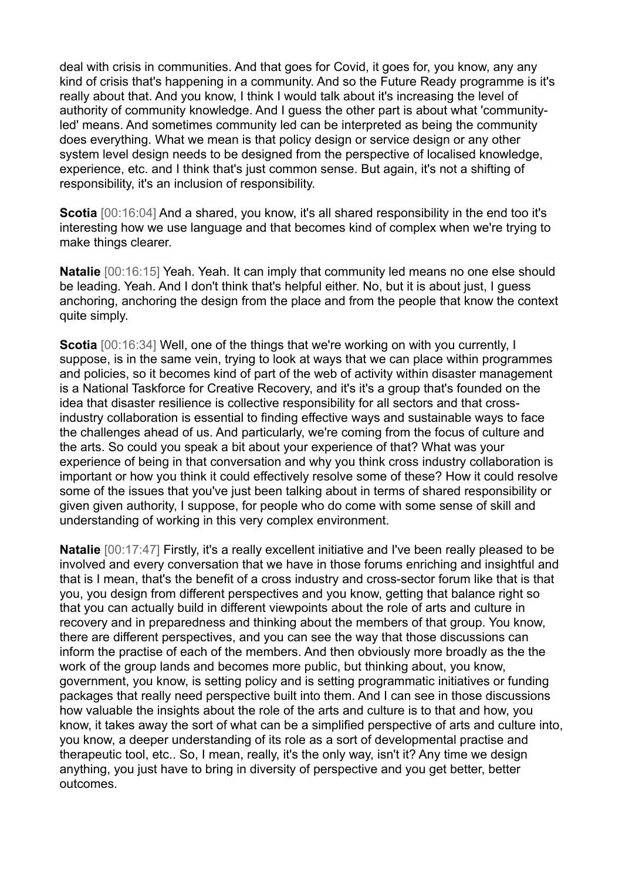deal with crisis in communities. And that goes for Covid, it goes for, you know, any any kind of crisis that's happening in a community. And so the Future Ready programme is it's really about that. And you know, I think I would talk about it's increasing the level of authority of community knowledge. And I guess the other part is about what 'communityled' means. And sometimes community led can be interpreted as being the community does everything. What we mean is that policy design or service design or any other system level design needs to be designed from the perspective of localised knowledge, experience, etc. and I think that's just common sense. But again, it's not a shifting of responsibility, it's an inclusion of responsibility.

**Scotia**  $[00:16:04]$  And a shared, you know, it's all shared responsibility in the end too it's interesting how we use language and that becomes kind of complex when we're trying to make things clearer.

**Natalie** [00:16:15] Yeah. Yeah. It can imply that community led means no one else should be leading. Yeah. And I don't think that's helpful either. No, but it is about just, I guess anchoring, anchoring the design from the place and from the people that know the context quite simply.

**Scotia** [00:16:34] Well, one of the things that we're working on with you currently, I suppose, is in the same vein, trying to look at ways that we can place within programmes and policies, so it becomes kind of part of the web of activity within disaster management is a National Taskforce for Creative Recovery, and it's it's a group that's founded on the idea that disaster resilience is collective responsibility for all sectors and that crossindustry collaboration is essential to finding effective ways and sustainable ways to face the challenges ahead of us. And particularly, we're coming from the focus of culture and the arts. So could you speak a bit about your experience of that? What was your experience of being in that conversation and why you think cross industry collaboration is important or how you think it could effectively resolve some of these? How it could resolve some of the issues that you've just been talking about in terms of shared responsibility or given given authority, I suppose, for people who do come with some sense of skill and understanding of working in this very complex environment.

**Natalie** [00:17:47] Firstly, it's a really excellent initiative and I've been really pleased to be involved and every conversation that we have in those forums enriching and insightful and that is I mean, that's the benefit of a cross industry and cross-sector forum like that is that you, you design from different perspectives and you know, getting that balance right so that you can actually build in different viewpoints about the role of arts and culture in recovery and in preparedness and thinking about the members of that group. You know, there are different perspectives, and you can see the way that those discussions can inform the practise of each of the members. And then obviously more broadly as the the work of the group lands and becomes more public, but thinking about, you know, government, you know, is setting policy and is setting programmatic initiatives or funding packages that really need perspective built into them. And I can see in those discussions how valuable the insights about the role of the arts and culture is to that and how, you know, it takes away the sort of what can be a simplified perspective of arts and culture into, you know, a deeper understanding of its role as a sort of developmental practise and therapeutic tool, etc.. So, I mean, really, it's the only way, isn't it? Any time we design anything, you just have to bring in diversity of perspective and you get better, better outcomes.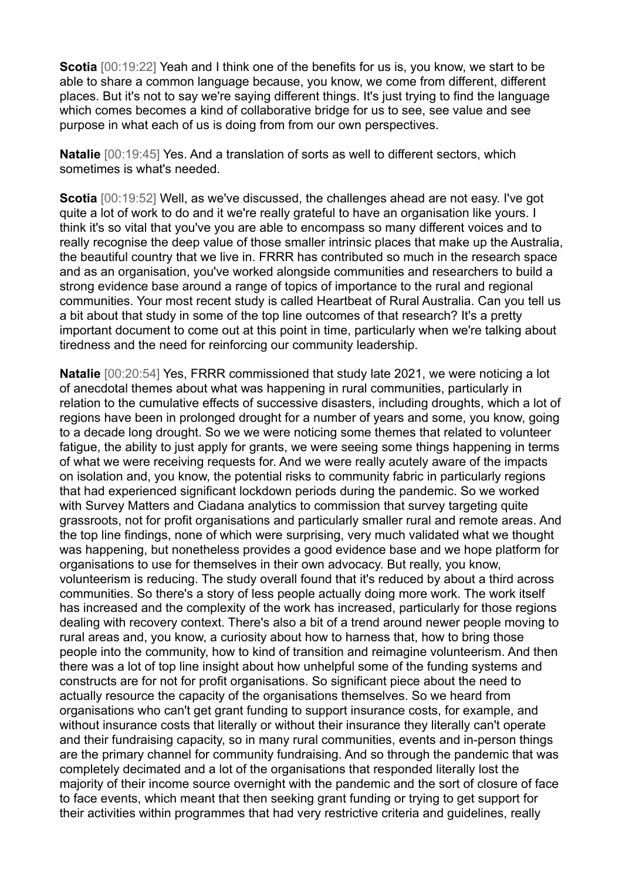**Scotia** [00:19:22] Yeah and I think one of the benefits for us is, you know, we start to be able to share a common language because, you know, we come from different, different places. But it's not to say we're saying different things. It's just trying to find the language which comes becomes a kind of collaborative bridge for us to see, see value and see purpose in what each of us is doing from from our own perspectives.

**Natalie** [00:19:45] Yes. And a translation of sorts as well to different sectors, which sometimes is what's needed.

**Scotia** [00:19:52] Well, as we've discussed, the challenges ahead are not easy. I've got quite a lot of work to do and it we're really grateful to have an organisation like yours. I think it's so vital that you've you are able to encompass so many different voices and to really recognise the deep value of those smaller intrinsic places that make up the Australia, the beautiful country that we live in. FRRR has contributed so much in the research space and as an organisation, you've worked alongside communities and researchers to build a strong evidence base around a range of topics of importance to the rural and regional communities. Your most recent study is called Heartbeat of Rural Australia. Can you tell us a bit about that study in some of the top line outcomes of that research? It's a pretty important document to come out at this point in time, particularly when we're talking about tiredness and the need for reinforcing our community leadership.

**Natalie** [00:20:54] Yes, FRRR commissioned that study late 2021, we were noticing a lot of anecdotal themes about what was happening in rural communities, particularly in relation to the cumulative effects of successive disasters, including droughts, which a lot of regions have been in prolonged drought for a number of years and some, you know, going to a decade long drought. So we we were noticing some themes that related to volunteer fatigue, the ability to just apply for grants, we were seeing some things happening in terms of what we were receiving requests for. And we were really acutely aware of the impacts on isolation and, you know, the potential risks to community fabric in particularly regions that had experienced significant lockdown periods during the pandemic. So we worked with Survey Matters and Ciadana analytics to commission that survey targeting quite grassroots, not for profit organisations and particularly smaller rural and remote areas. And the top line findings, none of which were surprising, very much validated what we thought was happening, but nonetheless provides a good evidence base and we hope platform for organisations to use for themselves in their own advocacy. But really, you know, volunteerism is reducing. The study overall found that it's reduced by about a third across communities. So there's a story of less people actually doing more work. The work itself has increased and the complexity of the work has increased, particularly for those regions dealing with recovery context. There's also a bit of a trend around newer people moving to rural areas and, you know, a curiosity about how to harness that, how to bring those people into the community, how to kind of transition and reimagine volunteerism. And then there was a lot of top line insight about how unhelpful some of the funding systems and constructs are for not for profit organisations. So significant piece about the need to actually resource the capacity of the organisations themselves. So we heard from organisations who can't get grant funding to support insurance costs, for example, and without insurance costs that literally or without their insurance they literally can't operate and their fundraising capacity, so in many rural communities, events and in-person things are the primary channel for community fundraising. And so through the pandemic that was completely decimated and a lot of the organisations that responded literally lost the majority of their income source overnight with the pandemic and the sort of closure of face to face events, which meant that then seeking grant funding or trying to get support for their activities within programmes that had very restrictive criteria and guidelines, really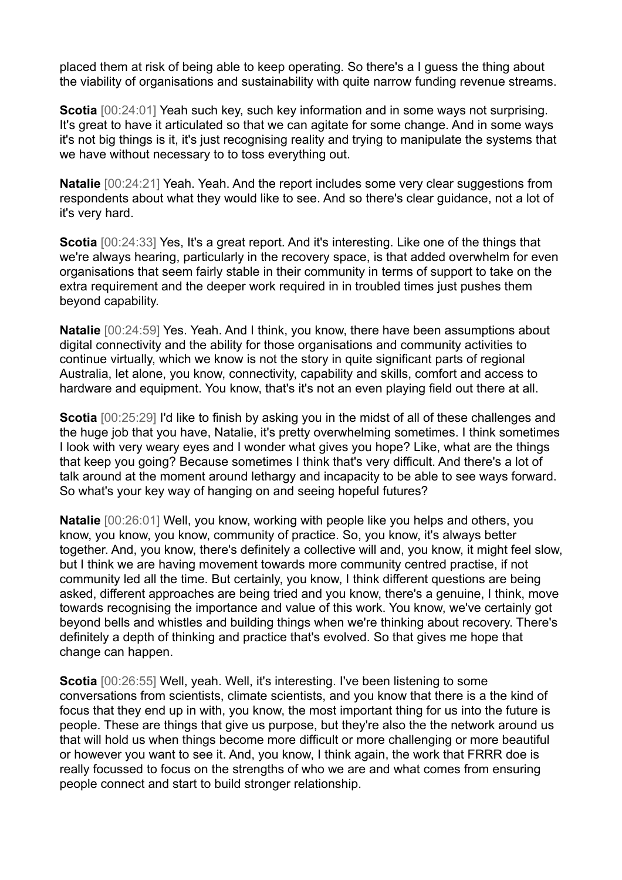placed them at risk of being able to keep operating. So there's a I guess the thing about the viability of organisations and sustainability with quite narrow funding revenue streams.

**Scotia** [00:24:01] Yeah such key, such key information and in some ways not surprising. It's great to have it articulated so that we can agitate for some change. And in some ways it's not big things is it, it's just recognising reality and trying to manipulate the systems that we have without necessary to to toss everything out.

**Natalie** [00:24:21] Yeah. Yeah. And the report includes some very clear suggestions from respondents about what they would like to see. And so there's clear guidance, not a lot of it's very hard.

**Scotia** [00:24:33] Yes, It's a great report. And it's interesting. Like one of the things that we're always hearing, particularly in the recovery space, is that added overwhelm for even organisations that seem fairly stable in their community in terms of support to take on the extra requirement and the deeper work required in in troubled times just pushes them beyond capability.

**Natalie** [00:24:59] Yes. Yeah. And I think, you know, there have been assumptions about digital connectivity and the ability for those organisations and community activities to continue virtually, which we know is not the story in quite significant parts of regional Australia, let alone, you know, connectivity, capability and skills, comfort and access to hardware and equipment. You know, that's it's not an even playing field out there at all.

**Scotia** [00:25:29] I'd like to finish by asking you in the midst of all of these challenges and the huge job that you have, Natalie, it's pretty overwhelming sometimes. I think sometimes I look with very weary eyes and I wonder what gives you hope? Like, what are the things that keep you going? Because sometimes I think that's very difficult. And there's a lot of talk around at the moment around lethargy and incapacity to be able to see ways forward. So what's your key way of hanging on and seeing hopeful futures?

**Natalie** [00:26:01] Well, you know, working with people like you helps and others, you know, you know, you know, community of practice. So, you know, it's always better together. And, you know, there's definitely a collective will and, you know, it might feel slow, but I think we are having movement towards more community centred practise, if not community led all the time. But certainly, you know, I think different questions are being asked, different approaches are being tried and you know, there's a genuine, I think, move towards recognising the importance and value of this work. You know, we've certainly got beyond bells and whistles and building things when we're thinking about recovery. There's definitely a depth of thinking and practice that's evolved. So that gives me hope that change can happen.

**Scotia** [00:26:55] Well, yeah. Well, it's interesting. I've been listening to some conversations from scientists, climate scientists, and you know that there is a the kind of focus that they end up in with, you know, the most important thing for us into the future is people. These are things that give us purpose, but they're also the the network around us that will hold us when things become more difficult or more challenging or more beautiful or however you want to see it. And, you know, I think again, the work that FRRR doe is really focussed to focus on the strengths of who we are and what comes from ensuring people connect and start to build stronger relationship.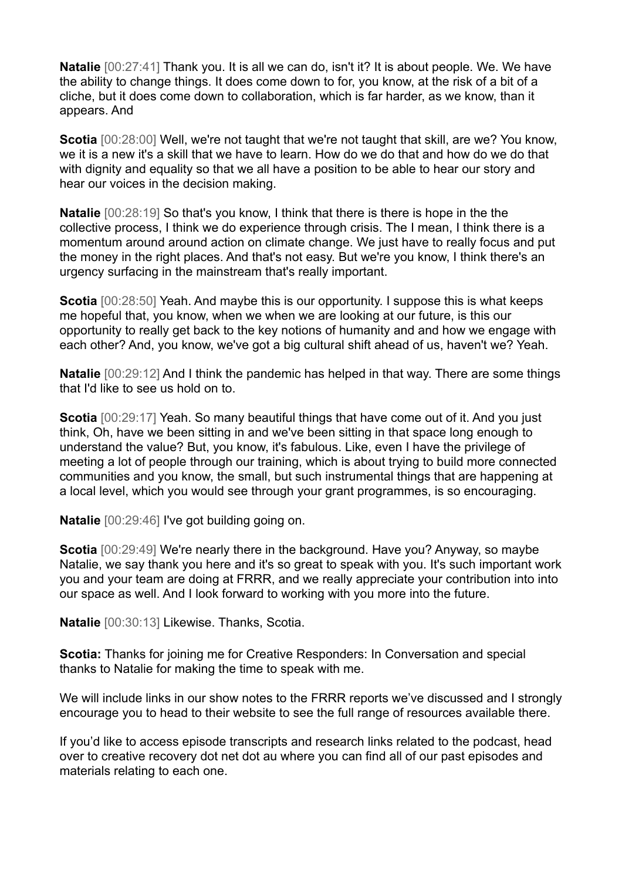**Natalie** [00:27:41] Thank you. It is all we can do, isn't it? It is about people. We. We have the ability to change things. It does come down to for, you know, at the risk of a bit of a cliche, but it does come down to collaboration, which is far harder, as we know, than it appears. And

**Scotia** [00:28:00] Well, we're not taught that we're not taught that skill, are we? You know, we it is a new it's a skill that we have to learn. How do we do that and how do we do that with dignity and equality so that we all have a position to be able to hear our story and hear our voices in the decision making.

**Natalie** [00:28:19] So that's you know, I think that there is there is hope in the the collective process, I think we do experience through crisis. The I mean, I think there is a momentum around around action on climate change. We just have to really focus and put the money in the right places. And that's not easy. But we're you know, I think there's an urgency surfacing in the mainstream that's really important.

**Scotia** [00:28:50] Yeah. And maybe this is our opportunity. I suppose this is what keeps me hopeful that, you know, when we when we are looking at our future, is this our opportunity to really get back to the key notions of humanity and and how we engage with each other? And, you know, we've got a big cultural shift ahead of us, haven't we? Yeah.

**Natalie** [00:29:12] And I think the pandemic has helped in that way. There are some things that I'd like to see us hold on to.

**Scotia** [00:29:17] Yeah. So many beautiful things that have come out of it. And you just think, Oh, have we been sitting in and we've been sitting in that space long enough to understand the value? But, you know, it's fabulous. Like, even I have the privilege of meeting a lot of people through our training, which is about trying to build more connected communities and you know, the small, but such instrumental things that are happening at a local level, which you would see through your grant programmes, is so encouraging.

**Natalie** [00:29:46] I've got building going on.

**Scotia** [00:29:49] We're nearly there in the background. Have you? Anyway, so maybe Natalie, we say thank you here and it's so great to speak with you. It's such important work you and your team are doing at FRRR, and we really appreciate your contribution into into our space as well. And I look forward to working with you more into the future.

**Natalie** [00:30:13] Likewise. Thanks, Scotia.

**Scotia:** Thanks for joining me for Creative Responders: In Conversation and special thanks to Natalie for making the time to speak with me.

We will include links in our show notes to the FRRR reports we've discussed and I strongly encourage you to head to their website to see the full range of resources available there.

If you'd like to access episode transcripts and research links related to the podcast, head over to creative recovery dot net dot au where you can find all of our past episodes and materials relating to each one.